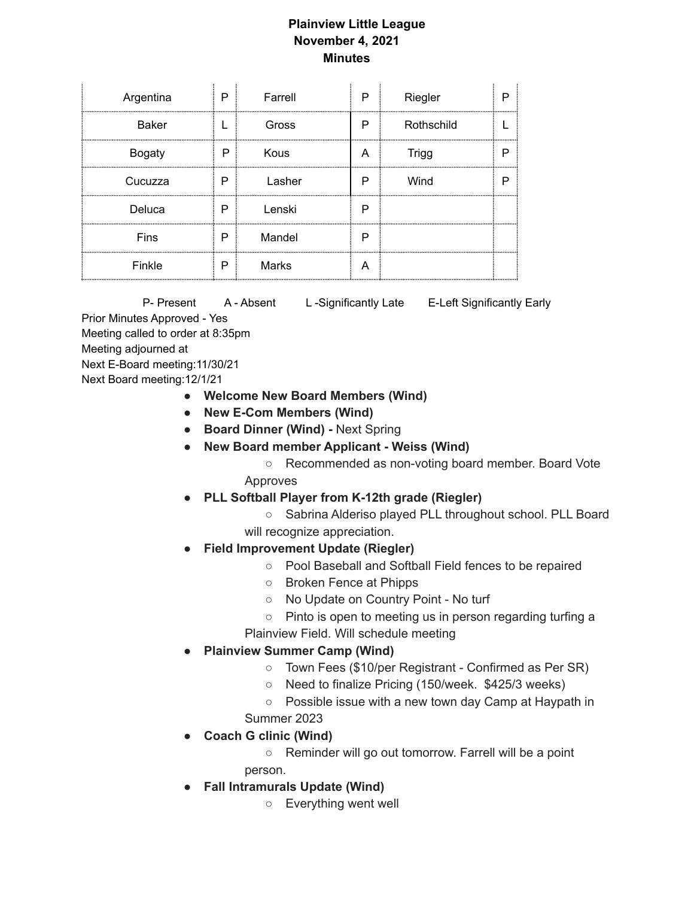## **Plainview Little League November 4, 2021 Minutes**

 $\mathcal{L}^{\mathcal{L}}$ 

| Argentina     | P | Farrell | P | Riegler      |  |
|---------------|---|---------|---|--------------|--|
| <b>Baker</b>  |   | Gross   | P | Rothschild   |  |
| <b>Bogaty</b> | P | Kous    | А | <b>Trigg</b> |  |
| Cucuzza       | P | Lasher  | Р | Wind         |  |
| Deluca        | P | Lenski  | Р |              |  |
| Fins          | P | Mandel  | P |              |  |
| Finkle        | P | Marks   | Α |              |  |

P- Present A - Absent L - Significantly Late E-Left Significantly Early Prior Minutes Approved - Yes Meeting called to order at 8:35pm Meeting adjourned at Next E-Board meeting:11/30/21 Next Board meeting:12/1/21

- **● Welcome New Board Members (Wind)**
- **● New E-Com Members (Wind)**
- **● Board Dinner (Wind) -** Next Spring
- **● New Board member Applicant - Weiss (Wind)**
	- Recommended as non-voting board member. Board Vote Approves
- **● PLL Softball Player from K-12th grade (Riegler)**
	- Sabrina Alderiso played PLL throughout school. PLL Board will recognize appreciation.
- **● Field Improvement Update (Riegler)**
	- Pool Baseball and Softball Field fences to be repaired
	- Broken Fence at Phipps
	- No Update on Country Point No turf
	- **○** Pinto is open to meeting us in person regarding turfing a
	- Plainview Field. Will schedule meeting
- **● Plainview Summer Camp (Wind)**
	- Town Fees (\$10/per Registrant Confirmed as Per SR)
	- Need to finalize Pricing (150/week. \$425/3 weeks)
	- Possible issue with a new town day Camp at Haypath in Summer 2023
- **● Coach G clinic (Wind)**
	- Reminder will go out tomorrow. Farrell will be a point person.
- **Fall Intramurals Update (Wind)**
	- Everything went well